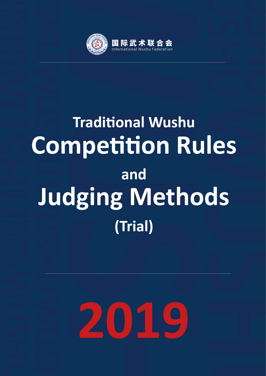

# **Traditional Wushu Competition Rules** and **Judging Methods** (Trial) **Traditional Wushu Competition Rules and Judging**

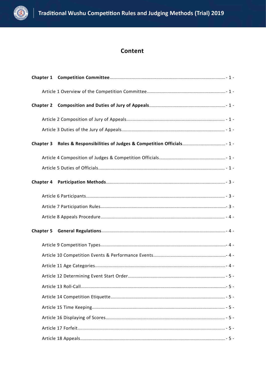

## Content

| <b>Chapter 2</b> |  |
|------------------|--|
|                  |  |
|                  |  |
| <b>Chapter 3</b> |  |
|                  |  |
|                  |  |
| <b>Chapter 4</b> |  |
|                  |  |
|                  |  |
|                  |  |
| <b>Chapter 5</b> |  |
|                  |  |
|                  |  |
|                  |  |
|                  |  |
|                  |  |
|                  |  |
|                  |  |
|                  |  |
|                  |  |
|                  |  |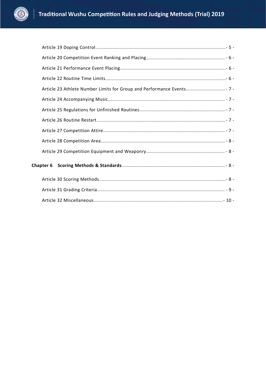

|  | Article 23 Athlete Number Limits for Group and Performance Events 7 - |  |
|--|-----------------------------------------------------------------------|--|
|  |                                                                       |  |
|  |                                                                       |  |
|  |                                                                       |  |
|  |                                                                       |  |
|  |                                                                       |  |
|  |                                                                       |  |
|  |                                                                       |  |
|  |                                                                       |  |
|  |                                                                       |  |
|  |                                                                       |  |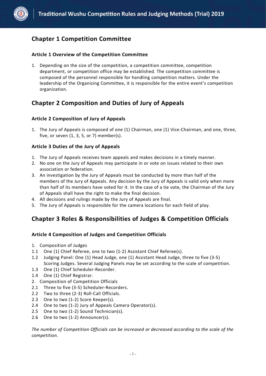

## <span id="page-3-0"></span>**Chapter 1 Competition Committee**

#### <span id="page-3-1"></span>**Article 1 Overview of the Competition Committee**

1. Depending on the size of the competition, a competition committee, competition department, or competition office may be established. The competition committee is composed of the personnel responsible for handling competition matters. Under the leadership of the Organizing Committee, it is responsible for the entire event's competition organization.

## <span id="page-3-2"></span>**Chapter 2 Composition and Duties of Jury of Appeals**

#### <span id="page-3-3"></span>**Article 2 Composition of Jury of Appeals**

1. The Jury of Appeals is composed of one (1) Chairman, one (1) Vice-Chairman, and one, three, five, or seven (1, 3, 5, or 7) member(s).

#### <span id="page-3-4"></span>**Article 3 Duties of the Jury of Appeals**

- 1. The Jury of Appeals receives team appeals and makes decisions in a timely manner.
- 2. No one on the Jury of Appeals may participate in or vote on issues related to their own association or federation.
- 3. An investigation by the Jury of Appeals must be conducted by more than half of the members of the Jury of Appeals. Any decision by the Jury of Appeals is valid only when more than half of its members have voted for it. In the case of a tie vote, the Chairman of the Jury of Appeals shall have the right to make the final decision.
- 4. All decisions and rulings made by the Jury of Appeals are final.
- 5. The Jury of Appeals is responsible for the camera locations for each field of play.

## <span id="page-3-5"></span>**Chapter 3 Roles & Responsibilities of Judges & Competition Officials**

#### <span id="page-3-6"></span>**Article 4 Composition of Judges and Competition Officials**

- 1. Composition of Judges
- 1.1 One (1) Chief Referee, one to two (1-2) Assistant Chief Referee(s).
- 1.2 Judging Panel: One (1) Head Judge, one (1) Assistant Head Judge, three to five (3-5) Scoring Judges. Several Judging Panels may be set according to the scale of competition.
- 1.3 One (1) Chief Scheduler-Recorder.
- 1.4 One (1) Chief Registrar.
- 2. Composition of Competition Officials
- 2.1 Three to five (3-5) Scheduler-Recorders.
- 2.2 Two to three (2-3) Roll-Call Officials.
- 
- 2.3 One to two (1-2) Score Keeper(s).<br>2.4 One to two (1-2) Jury of Appeals Camera Operator(s).
- 2.5 One to two  $(1-2)$  Sound Technician(s).
- <span id="page-3-7"></span>2.6 One to two (1-2) Announcer(s).

*The number of Competition Officials can be increased or decreased according to the scale of the competition.*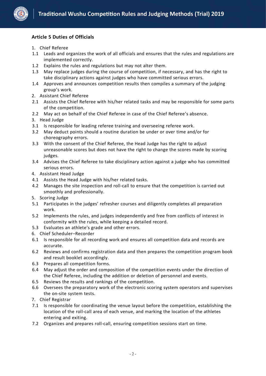

#### **Article 5 Duties of Officials**

- 1. Chief Referee
- 1.1 Leads and organizes the work of all officials and ensures that the rules and regulations are implemented correctly.
- 1.2 Explains the rules and regulations but may not alter them.
- 1.3 May replace judges during the course of competition, if necessary, and has the right to take disciplinary actions against judges who have committed serious errors.
- 1.4 Approves and announces competition results then compiles a summary of the judging group's work.<br>2. Assistant Chief Referee
- 
- 2.1 Assists the Chief Referee with his/her related tasks and may be responsible for some parts of the competition.
- 2.2 May act on behalf of the Chief Referee in case of the Chief Referee's absence.
- 3. Head Judge
- 3.1 Is responsible for leading referee training and overseeing referee work.
- 3.2 May deduct points should a routine duration be under or over time and/or for choreography errors.
- 3.3 With the consent of the Chief Referee, the Head Judge has the right to adjust unreasonable scores but does not have the right to change the scores made by scoring judges.
- 3.4 Advises the Chief Referee to take disciplinary action against a judge who has committed serious errors.
- 4. Assistant Head Judge
- 4.1 Assists the Head Judge with his/her related tasks.
- 4.2 Manages the site inspection and roll-call to ensure that the competition is carried out smoothly and professionally.
- 5. Scoring Judge
- 5.1 Participates in the judges' refresher courses and diligently completes all preparation work.
- 5.2 Implements the rules, and judges independently and free from conflicts of interest in conformity with the rules, while keeping a detailed record.
- 5.3 Evaluates an athlete's grade and other errors.
- 6. Chief Scheduler–Recorder
- 6.1 Is responsible for all recording work and ensures all competition data and records are accurate.
- 6.2 Reviews and confirms registration data and then prepares the competition program book and result booklet accordingly.
- 6.3 Prepares all competition forms.
- 6.4 May adjust the order and composition of the competition events under the direction of the Chief Referee, including the addition or deletion of personnel and events.
- 6.5 Reviews the results and rankings of the competition.
- 6.6 Oversees the preparatory work of the electronic scoring system operators and supervises the on-site system tests.
- 7. Chief Registrar
- 7.1 Is responsible for coordinating the venue layout before the competition, establishing the location of the roll-call area of each venue, and marking the location of the athletes entering and exiting.
- 7.2 Organizes and prepares roll-call, ensuring competition sessions start on time.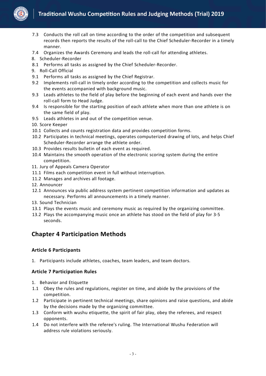

- 7.3 Conducts the roll call on time according to the order of the competition and subsequent records then reports the results of the roll-call to the Chief Scheduler-Recorder in a timely manner.
- 7.4 Organizes the Awards Ceremony and leads the roll-call for attending athletes.
- 8. Scheduler-Recorder
- 8.1 Performs all tasks as assigned by the Chief Scheduler-Recorder.
- 9. Roll-Call Official
- 9.1 Performs all tasks as assigned by the Chief Registrar.
- 9.2 Implements roll-call in timely order according to the competition and collects music for the events accompanied with background music.
- 9.3 Leads athletes to the field of play before the beginning of each event and hands over the roll-call form to Head Judge.
- 9.4 Is responsible for the starting position of each athlete when more than one athlete is on the same field of play.
- 9.5 Leads athletes in and out of the competition venue.
- 10. Score Keeper
- 10.1 Collects and counts registration data and provides competition forms.
- 10.2 Participates in technical meetings, operates computerized drawing of lots, and helps Chief Scheduler-Recorder arrange the athlete order.
- 10.3 Provides results bulletin of each event as required.
- 10.4 Maintains the smooth operation of the electronic scoring system during the entire competition.
- 11. Jury of Appeals Camera Operator
- 11.1 Films each competition event in full without interruption.
- 11.2 Manages and archives all footage.
- 12. Announcer
- 12.1 Announces via public address system pertinent competition information and updates as necessary. Performs all announcements in <sup>a</sup> timely manner.13. Sound Technician
- 
- 13.1 Plays the events music and ceremony music as required by the organizing committee.
- 13.2 Plays the accompanying music once an athlete has stood on the field of play for 3-5 seconds.

## <span id="page-5-0"></span>**Chapter 4 Participation Methods**

#### <span id="page-5-1"></span>**Article 6 Participants**

1. Participants include athletes, coaches, team leaders, and team doctors.

#### <span id="page-5-2"></span>**Article 7 Participation Rules**

- 1. Behavior and Etiquette
- 1.1 Obey the rules and regulations, register on time, and abide by the provisions of the competition.
- 1.2 Participate in pertinent technical meetings, share opinions and raise questions, and abide by the decisions made by the organizing committee.
- 1.3 Conform with wushuetiquette, the spirit of fair play, obey the referees, and respect opponents.
- 1.4 Do not interfere with the referee's ruling. The International Wushu Federation will address rule violations seriously.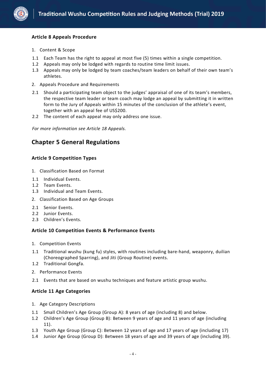

#### <span id="page-6-0"></span>**Article 8 Appeals Procedure**

- 1. Content & Scope
- 1.1 Each Team has the right to appeal at most five (5) times within a single competition.
- 1.2 Appeals may only be lodged with regards to routine time limit issues.
- 1.3 Appeals may only be lodged by team coaches/team leaders on behalf of their own team's athletes.
- 2. Appeals Procedure and Requirements
- 2.1 Should a participating team object to the judges' appraisal of one of its team's members, the respective team leader or team coach may lodge an appeal by submitting it in written form to the Jury of Appeals within 15 minutes of the conclusion of the athlete's event, together with an appeal fee of US\$200.
- 2.2 The content of each appeal may only address one issue.

*For more information see Article 18 Appeals.*

## <span id="page-6-1"></span>**Chapter 5 General Regulations**

#### <span id="page-6-2"></span>**Article 9 Competition Types**

- 1. Classification Based on Format
- 1.1 Individual Events.
- 1.2 Team Events.
- 1.3 Individual and Team Events.
- 2. Classification Based on Age Groups
- 2.1 Senior Events.
- 2.2 Junior Events.
- <span id="page-6-3"></span>2.3 Children's Events.

#### **Article 10 Competition Events & Performance Events**

- 1. Competition Events
- 1.1 Traditional wushu (kung fu) styles, with routines including bare-hand, weaponry, duilian (Choreographed Sparring), and Jiti (Group Routine) events.
- 1.2 Traditional Gongfa.
- 2. Performance Events
- 2.1 Events that are based on wushu techniques and feature artistic group wushu.

#### <span id="page-6-4"></span>**Article 11 Age Categories**

- 1. Age Category Descriptions
- 1.1 Small Children's Age Group (Group A): 8 years of age (including 8) and below.
- 1.2 Children's Age Group (Group B): Between 9 years of age and 11 years of age (including 11).
- 1.3 Youth Age Group (Group C): Between 12 years of age and 17 years of age (including 17)
- 1.4 Junior Age Group (Group D): Between 18 years of age and 39 years of age (including 39).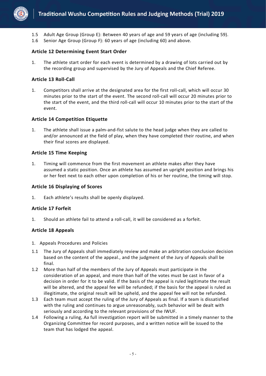

- 1.5 Adult Age Group (Group E): Between 40 years of age and 59 years of age (including 59).
- 1.6 Senior Age Group (Group F): 60 years of age (including 60) and above.

#### <span id="page-7-0"></span>**Article 12 Determining Event Start Order**

1. The athlete start order for each event is determined by a drawing of lots carried out by the recording group and supervised by the Jury of Appeals and the Chief Referee.

#### <span id="page-7-1"></span>**Article 13 Roll-Call**

1. Competitors shall arrive at the designated area for the first roll-call, which will occur 30 minutes prior to the start of the event. The second roll-call will occur 20 minutes prior to the start of the event, and the third roll-call will occur 10 minutes prior to the start of the event.

#### <span id="page-7-2"></span>**Article 14 Competition Etiquette**

1. The athlete shall issue a palm-and-fist salute to the head judge when they are called to and/or announced at the field of play, when they have completed their routine, and when their final scores are displayed.

#### <span id="page-7-3"></span>**Article 15 Time Keeping**

1. Timing will commence from the first movement an athlete makes after they have assumed a static position. Once an athlete has assumed an upright position and brings his or her feet next to each other upon completion of his or her routine, the timing will stop.

#### <span id="page-7-4"></span>**Article 16 Displaying of Scores**

1. Each athlete's results shall be openly displayed.

#### <span id="page-7-5"></span>**Article 17 Forfeit**

1. Should an athlete fail to attend a roll-call, it will be considered as a forfeit.

#### <span id="page-7-6"></span>**Article 18 Appeals**

- 1. Appeals Procedures and Policies
- <span id="page-7-7"></span>1.1 The Jury of Appeals shall immediately review and make an arbitration conclusion decision based on the content of the appeal., and the judgment of the Jury of Appeals shall be final.
- 1.2 More than half of the members of the Jury of Appeals must participate in the consideration of an appeal, and more than half of the votes must be cast in favor of a decision in order for it to be valid. If the basis of the appeal is ruled legitimate the result will be altered, and the appeal fee will be refunded; if the basis for the appeal is ruled as illegitimate, the original result will be upheld, and the appeal fee will not be refunded.
- 1.3 Each team must accept the ruling of the Jury of Appeals as final. If a team is dissatisfied with the ruling and continues to argue unreasonably, such behavior will be dealt with seriously and according to the relevant provisions of the IWUF.
- 1.4 Following a ruling, Aa full investigation report will be submitted in a timely manner to the Organizing Committee for record purposes, and a written notice will be issued to the team that has lodged the appeal.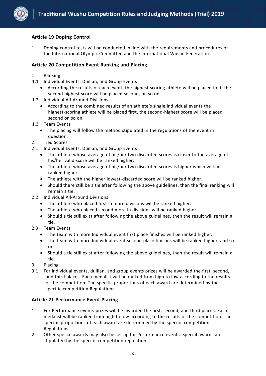

#### **Article 19 Doping Control**

1. Doping control tests will be conducted in line with the requirements and procedures of the International Olympic Committee and the International Wushu Federation.

#### <span id="page-8-0"></span>**Article 20 Competition Event Ranking and Placing**

- 1. Ranking
- 1.1 Individual Events, Duilian, and Group Events
	- According the results of each event, the highest scoring athlete will be placed first, the second highest score will be placed second, on so on.
- 1.2 Individual All-Around Divisions
	- According to the combined results of an athlete's single individual events the highest-scoring athlete will be placed first, the second-highest score will be placed second on so on.
- 1.3 Team Events
	- The placing will follow the method stipulated in the regulations of the event in question.
- 2. Tied Scores
- 2.1 Individual Events, Duilian, and Group Events
	- The athlete whose average of his/her two discarded scores is closer to the average of his/her valid score will be ranked higher.
	- The athlete whose average of his/her two discarded scores is higher which will be ranked higher.
	- The athlete with the higher lowest-discarded score will be ranked higher.
	- Should there still be a tie after following the above guidelines, then the final ranking will remain a tie.
- 2.2 Individual All-Around Divisions
	- The athlete who placed first in more divisions will be ranked higher.
	- The athlete who placed second more in divisions will be ranked higher.
	- Should a tie still exist after following the above guidelines, then the result will remain a tie.
- 2.3 Team Events
	- The team with more Individual event first place finishes will be ranked higher.
	- The team with more Individual event second place finishes will be ranked higher, and so on.
	- Should a tie still exist after following the above guidelines, then the result will remain a tie.
- 3. Placing
- 3.1 For individual events, duilian, and group events prizes will be awarded the first, second, and third places. Each medalist will be ranked from high to low according to the results of the competition. The specific proportions of each award are determined by the specific competition Regulations.

#### <span id="page-8-1"></span>**Article 21 Performance Event Placing**

- 1. For Performance events prizes will be awarded the first, second, and third places. Each medalist will be ranked from high to low according to the results of the competition. The specific proportions of each award are determined by the specific competition Regulations.
- <span id="page-8-2"></span>2. Other special awards may also be set up for Performance events. Special awards are stipulated by the specific competition regulations.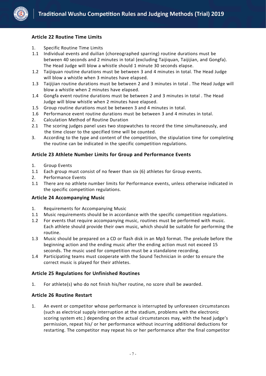

#### **Article 22 Routine Time Limits**

- 1. Specific Routine Time Limits
- 1.1 Individual events and duilian (choreographed sparring) routine durations must be between 40 seconds and 2 minutes in total (excluding Taijiquan, Taijijian, and Gongfa). The Head Judge will blow a whistle should 1 minute 30 seconds elapse.
- 1.2 Taijiquan routine durations must be between 3 and 4 minutes in total. The Head Judge will blow a whistle when 3 minutes have elapsed.
- 1.3 Taijijian routine durations must be between 2 and 3 minutes in total . The Head Judge will blow a whistle when 2 minutes have elapsed.
- 1.4 Gongfa event routine durations must be between 2 and 3 minutes in total . The Head Judge will blow whistle when 2 minutes have elapsed.
- 1.5 Group routine durations must be between 3 and 4 minutes in total.
- 1.6 Performance event routine durations must be between 3 and 4 minutes in total.
- 2. Calculation Method of Routine Duration
- 2.1 The scoring judges panel uses two stopwatches to record the time simultaneously, and the time closer to the specified time will be counted.
- 3. According to the type and content of the competition, the stipulation time for completing the routine can be indicated in the specific competition regulations.

#### <span id="page-9-0"></span>**Article 23 Athlete Number Limits for Group and Performance Events**

- 1. Group Events
- 1.1 Each group must consist of no fewer than six (6) athletes for Group events.
- 2. Performance Events
- 1.1 There are no athlete number limits for Performance events, unless otherwise indicated in the specific competition regulations.

#### <span id="page-9-1"></span>**Article 24 Accompanying Music**

- 1. Requirements for Accompanying Music
- 1.1 Music requirements should be in accordance with the specific competition regulations.
- 1.2 For events that require accompanying music, routines must be performed with music.<br>Each athlete should provide their own music, which should be suitable for performing the routine.
- 1.3 Music should be prepared on a CD orflash disk in an Mp3 format. The prelude before the beginning action and the ending music after the ending action must not exceed 15
- seconds. The music used for competition must be a standalone recording.<br>1.4 Participating teams must cooperate with the Sound Technician in order to ensure the correct music is played for their athletes.

#### <span id="page-9-2"></span>**Article 25 Regulations for Unfinished Routines**

1. For athlete(s) who do not finish his/herroutine, no score shall be awarded.

#### <span id="page-9-3"></span>**Article 26 Routine Restart**

<span id="page-9-4"></span>1. An event or competitor whose performance is interrupted by unforeseen circumstances (such as electrical supply interruption at the stadium, problems with the electronic scoring system etc.) depending on the actual circumstances may, with the head judge's permission, repeat his/ or her performance without incurring additional deductions for restarting. The competitor may repeat his or her performance after the final competitor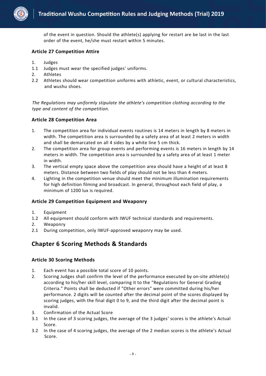

of the event in question. Should the athlete(s) applying for restart are be last in the last order of the event, he/she must restart within 5 minutes.

#### **Article 27 Competition Attire**

- 1. Judges
- 1.1 Judges must wear the specified judges' uniforms.
- 2. Athletes
- <span id="page-10-0"></span>2.2 Athletes should wear competition uniforms with athletic, event, or cultural characteristics, and wushu shoes.

*The Regulations may uniformly stipulate the athlete's competition clothing according to the type and content of the competition.*

#### **Article 28 Competition Area**

- 1. The competition area for individual events routines is 14 meters in length by 8 meters in width. The competition area is surrounded by a safety area of at least 2 meters in width and shall be demarcated on all 4 sides by a white line 5 cm thick.
- 2. The competition area for group events and performing events is 16 meters in length by 14 meters in width. The competition area is surrounded by a safety area of at least 1 meter in width.
- 3. The vertical empty space above the competition area should have a height of at least 8 meters. Distance between two fields of play should not be less than 4 meters.
- 4. Lighting in the competition venue should meet the minimum illumination requirements for high definition filming and broadcast. In general, throughout each field of play, a minimum of 1200 lux is required.

#### <span id="page-10-1"></span>**Article 29 Competition Equipment and Weaponry**

- 1. Equipment
- 1.2 All equipment should conform with IWUF technical standards and requirements.
- 2. Weaponry
- 2.1 During competition, only IWUF-approved weaponry may be used.

## <span id="page-10-2"></span>**Chapter 6 Scoring Methods & Standards**

#### <span id="page-10-3"></span>**Article 30 Scoring Methods**

- 1. Each event has a possible total score of 10 points.
- 2. Scoring Judges shall confirm the level of the performance executed by on-site athlete(s) according to his/her skill level, comparing it to the "Regulations for General Grading Criteria." Points shall be deducted if "Other errors" were committed during his/her performance. 2 digits will be counted after the decimal point of the scores displayed by scoring judges, with the final digit 0 to 9, and the third digit after the decimal point is invalid.
- 3. Confirmation of the Actual Score
- 3.1 In the case of 3 scoring judges, the average of the 3 judges' scores is the athlete's Actual Score.
- 3.2 In the case of 4 scoring judges, the average of the 2 median scores is the athlete's Actual Score.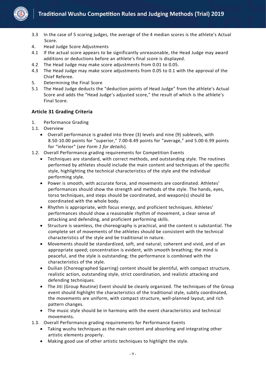

- 3.3 In the case of 5 scoring judges, the average of the 4 median scores is the athlete's Actual Score.
- 4. Head Judge Score Adjustments
- 4.1 If the actual score appears to be significantly unreasonable, the Head Judge may award additions or deductions before an athlete's final score is displayed.
- 4.2 The Head Judge may make score adjustments from 0.01 to 0.05.
- 4.3 The Head Judge may make score adjustments from 0.05 to 0.1 with the approval of the Chief Referee.
- 5. Determining the Final Score
- 5.1 The Head Judge deducts the "deduction points of Head Judge" from the athlete's Actual Score and adds the "Head Judge's adjusted score," the result of which is the athlete's Final Score.

## <span id="page-11-0"></span>**Article 31 Grading Criteria**

- 1. Performance Grading
- 1.1. Overview
	- Overall performance is graded into three (3) levels and nine (9) sublevels, with 8.50-10.00 points for "superior," 7.00-8.49 points for "average," and 5.00-6.99 points for "inferior" (*see Form 1 for details*).
- 1.2. Overall Performance grading requirements for Competition Events
	- Techniques are standard, with correct methods, and outstanding style. The routines performed by athletes should include the main content and techniques of the specific style, highlighting the technical characteristics of the style and the individual performing style.
	- Power is smooth, with accurate force, and movements are coordinated. Athletes' performances should show the strength and methods of the style. The hands, eyes, torso techniques, and steps should be coordinated, and weapon(s) should be coordinated with the whole body.
	- Rhythm is appropriate, with focus energy, and proficient techniques. Athletes' performances should show a reasonable rhythm of movement, a clear sense of attacking and defending, and proficient performing skills.
	- Structure is seamless, the choreography is practical, and the content is substantial. The complete set of movements of the athletes should be consistent with the technical characteristics of the style and be traditional in nature.
	- Movements should be standardized, soft, and natural; coherent and vivid, and of an appropriate speed; concentration is evident, with smooth breathing; the mind is peaceful, and the style is outstanding; the performance is combined with the characteristics of the style.
	- Duilian (Choreographed Sparring) content should be plentiful, with compact structure, realistic action, outstanding style, strict coordination, and realistic attacking and defending techniques.
	- The Jiti (Group Routine) Event should be cleanly organized. The techniques of the Group event should highlight the characteristics of the traditional style, subtly coordinated, the movements are uniform, with compact structure, well-planned layout, and rich pattern changes.
	- The music style should be in harmony with the event characteristics and technical movements.
- 1.3. Overall Performance grading requirements for Performance Events
	- Taking wushu techniques as the main content and absorbing and integrating other artistic elements properly.
	- Making good use of other artistic techniques to highlight the style.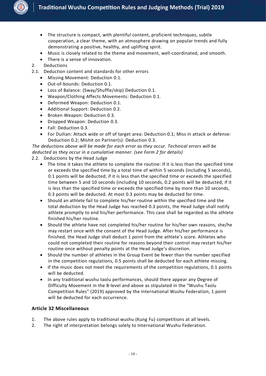

- The structure is compact, with plentiful content, proficient techniques, subtle cooperation, a clear theme, with an atmosphere drawing on popular trends and fully demonstrating a positive, healthy, and uplifting spirit.
- Music is closely related to the theme and movement, well-coordinated, and smooth.
- There is a sense of innovation.
- 2. Deductions
- 2.1. Deduction content and standards for other errors
	- Missing Movement: Deduction 0.1.
	- Out-of-bounds: Deduction 0.1.
	- Loss of Balance: (Sway/Shuffle/skip) Deduction 0.1.
	- Weapon/Clothing Affects Movements: Deduction 0.1.
	- Deformed Weapon: Deduction 0.1.
	- Additional Support: Deduction 0.2.
	- Broken Weapon: Deduction 0.3.
	- Dropped Weapon: Deduction 0.3.
	- Fall: Deduction 0.3.
	- For Duilian: Attack wide or off of target area: Deduction 0.1; Miss in attack or defense: Deduction 0.2; Mishit on Partner(s): Deduction 0.3.

*The deductions above will be made for each error as they occur. Technical errors will be deducted as they occur in a cumulative manner. (see Form 2 for details)*

- 2.2. Deductions by the Head Judge
	- The time it takes the athlete to complete the routine: If it is less than the specified time or exceeds the specified time by a total time of within 5 seconds (including 5 seconds), 0.1 points will be deducted; if it is less than the specified time or exceeds the specified time between 5 and 10 seconds (including 10 seconds, 0.2 points will be deducted; if it is less than the specified time or exceeds the specified time by more than 10 seconds,<br>0.3 points will be deducted. At most 0.3 points may be deducted for time.
	- Should an athlete fail to complete his/her routine within the specified time and the total deduction by the Head Judge has reached 0.3 points, the Head Judge shall notify athlete promptly to end his/her performance. This case shall be regarded as the athlete finished his/her routine.
	- Should the athlete have not completed his/her routine for his/her own reasons, she/he may restart once with the consent of the Head Judge. After his/her performance is finished, the Head Judge shall deduct 1 point from the athlete's score. Athletes who could not completed their routine for reasons beyond their controlmay restart his/her routine once without penalty points at the Head Judge's discretion.
	- Should the number of athletes in the Group Event be fewer than the number specified in the competition regulations, 0.5 points shall be deducted for each athlete missing.
	- If the music does not meet the requirements of the competition regulations, 0.1 points will be deducted.
	- In any traditional wushu taolu performances, should there appear any Degree of Difficulty Movement in the B-level and above as stipulated in the "Wushu Taolu Competition Rules" (2019) approved by the International Wushu Federation, 1 point will be deducted for each occurrence.

#### <span id="page-12-0"></span>**Article 32 Miscellaneous**

- 1. The above rules apply to traditional wushu (Kung Fu) competitions atall levels.
- 2. The right of interpretation belongs solely to International Wushu Federation.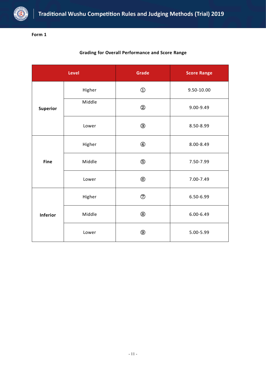

| <b>Grading for Overall Performance and Score Range</b> |  |
|--------------------------------------------------------|--|
|--------------------------------------------------------|--|

|                 | Level  | <b>Grade</b>   | <b>Score Range</b> |  |  |
|-----------------|--------|----------------|--------------------|--|--|
|                 | Higher | $\bigcirc$     | $9.50 - 10.00$     |  |  |
| <b>Superior</b> | Middle | $^{\circledR}$ | 9.00-9.49          |  |  |
|                 | Lower  | $\circledS$    | 8.50-8.99          |  |  |
|                 | Higher | $\bigcirc$     | 8.00-8.49          |  |  |
| Fine            | Middle | $\circledS$    | 7.50-7.99          |  |  |
|                 | Lower  | $^{\circledR}$ | 7.00-7.49          |  |  |
|                 | Higher | $\circledcirc$ | 6.50-6.99          |  |  |
| <b>Inferior</b> | Middle | $^\circledR$   | $6.00 - 6.49$      |  |  |
|                 | Lower  | $^\circledR$   | 5.00-5.99          |  |  |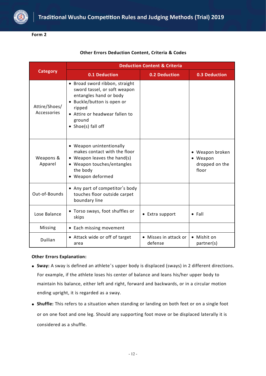

|                              |                                                                                                                                                                                                    | <b>Deduction Content &amp; Criteria</b> |                                                        |
|------------------------------|----------------------------------------------------------------------------------------------------------------------------------------------------------------------------------------------------|-----------------------------------------|--------------------------------------------------------|
| <b>Category</b>              | 0.1 Deduction                                                                                                                                                                                      | <b>0.2 Deduction</b>                    | <b>0.3 Deduction</b>                                   |
| Attire/Shoes/<br>Accessories | • Broad sword ribbon, straight<br>sword tassel, or soft weapon<br>entangles hand or body<br>· Buckle/button is open or<br>ripped<br>• Attire or headwear fallen to<br>ground<br>• Shoe(s) fall off |                                         |                                                        |
| Weapons &<br>Apparel         | • Weapon unintentionally<br>makes contact with the floor<br>• Weapon leaves the hand(s)<br>• Weapon touches/entangles<br>the body<br>• Weapon deformed                                             |                                         | • Weapon broken<br>• Weapon<br>dropped on the<br>floor |
| Out-of-Bounds                | • Any part of competitor's body<br>touches floor outside carpet<br>boundary line                                                                                                                   |                                         |                                                        |
| Lose Balance                 | • Torso sways, foot shuffles or<br>skips                                                                                                                                                           | • Extra support                         | $\bullet$ Fall                                         |
| Missing                      | • Each missing movement                                                                                                                                                                            |                                         |                                                        |
| <b>Duilian</b>               | • Attack wide or off of target<br>area                                                                                                                                                             | • Misses in attack or<br>defense        | • Mishit on<br>partner(s)                              |

#### **Other Errors Deduction Content, Criteria & Codes**

#### **Other Errors Explanation:**

- **Sway:** A sway is defined an athlete's upper body is displaced (sways) in 2 different directions. For example, if the athlete loses his center of balance and leans his/her upper body to maintain his balance, either left and right, forward and backwards, or in a circular motion ending upright, it is regarded as a sway.
- **Shuffle:** This refers to a situation when standing or landing on both feet or on a single foot or on one foot and one leg. Should any supporting foot move or be displaced laterally it is considered as a shuffle.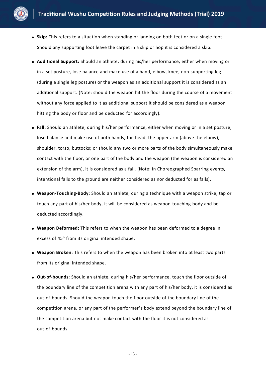

- **Skip:** This refers to a situation when standing or landing on both feet or on a single foot. Should any supporting foot leave the carpet in a skip or hop it is considered a skip.
- **Additional Support:** Should an athlete, during his/her performance, either when moving or in a set posture, lose balance and make use of a hand, elbow, knee, non-supporting leg (during a single leg posture) or the weapon as an additional support it is considered as an additional support. (Note: should the weapon hit the floor during the course of a movement without any force applied to it as additional support it should be considered as a weapon hitting the body or floor and be deducted for accordingly).
- **Fall:** Should an athlete, during his/her performance, either when moving or in a set posture, lose balance and make use of both hands, the head, the upper arm (above the elbow), shoulder, torso, buttocks; or should any two or more parts of the body simultaneously make contact with the floor, or one part of the body and the weapon (the weapon is considered an extension of the arm), it is considered as a fall. (Note: In Choreographed Sparring events, intentional falls to the ground are neither considered as nor deducted for as falls).
- **Weapon-Touching-Body:** Should an athlete, during a technique with a weapon strike, tap or touch any part of his/her body, it will be considered as weapon-touching-body and be deducted accordingly.
- **Weapon Deformed:**This refers to when the weapon has been deformed to a degree in excess of 45° from its original intended shape.
- **Weapon Broken:** This refers to when the weapon has been broken into at least two parts from its original intended shape.
- **Out-of-bounds:** Should an athlete, during his/her performance, touch the floor outside of the boundary line of the competition arena with any part of his/her body, it is considered as out-of-bounds. Should the weapon touch the floor outside of the boundary line of the competition arena, or any part of the performer's body extend beyond the boundary line of the competition arena but not make contact with the floor it is not considered as out-of-bounds.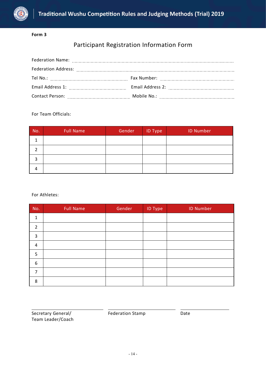

# Participant Registration Information Form

| Email Address 1: [19] Daniel Marshall Address 1: [19] Daniel Marshall Address 1: [19] Daniel Marshall Address  |  |
|----------------------------------------------------------------------------------------------------------------|--|
| Contact Person: [1995] [1996] Contact Person: [1996] [1996] [1996] [1996] [1996] [1996] [1996] [1996] [1996] [ |  |

#### For Team Officials:

| No. | <b>Full Name</b> | Gender | <b>ID Type</b> | <b>ID Number</b> |
|-----|------------------|--------|----------------|------------------|
|     |                  |        |                |                  |
|     |                  |        |                |                  |
| ີ   |                  |        |                |                  |
| 4   |                  |        |                |                  |

For Athletes:

| No. | <b>Full Name</b> | Gender | <b>ID Type</b> | <b>ID Number</b> |  |
|-----|------------------|--------|----------------|------------------|--|
| 1   |                  |        |                |                  |  |
| 2   |                  |        |                |                  |  |
| 3   |                  |        |                |                  |  |
| 4   |                  |        |                |                  |  |
| 5   |                  |        |                |                  |  |
| 6   |                  |        |                |                  |  |
| 7   |                  |        |                |                  |  |
| 8   |                  |        |                |                  |  |

Federation Stamp Date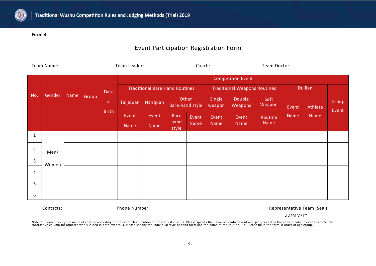

## Event Participation Registration Form

| Team Name:     |        |      |       | Team Leader: |                                       |              | Coach:                          |       |                                     |                          | Team Doctor:   |       |                |                |      |  |
|----------------|--------|------|-------|--------------|---------------------------------------|--------------|---------------------------------|-------|-------------------------------------|--------------------------|----------------|-------|----------------|----------------|------|--|
|                |        |      |       |              |                                       |              |                                 |       |                                     | <b>Competition Event</b> |                |       |                |                |      |  |
|                |        |      |       | Date         | <b>Traditional Bare Hand Routines</b> |              |                                 |       | <b>Traditional Weapons Routines</b> |                          |                |       | <b>Duilian</b> |                |      |  |
| No.            | Gender | Name | Group | of           | Taijiquan                             | Nanquan      | Other<br><b>Bare-hand style</b> |       | Single<br>weapon                    | Double<br>Weapons        | Soft<br>Weapon | Event | Athlete        | Group<br>Event |      |  |
|                |        |      |       |              |                                       | <b>Birth</b> | Event                           | Event | <b>Bare</b>                         | Event                    | <b>Event</b>   | Event | Routine        | Name           | Name |  |
|                |        |      |       |              | Name                                  | Name         | hand<br>style                   | Name  | Name                                | Name                     | Name           |       |                |                |      |  |
| 1              |        |      |       |              |                                       |              |                                 |       |                                     |                          |                |       |                |                |      |  |
| $\overline{2}$ | Men/   |      |       |              |                                       |              |                                 |       |                                     |                          |                |       |                |                |      |  |
| 3              | Women  |      |       |              |                                       |              |                                 |       |                                     |                          |                |       |                |                |      |  |
| 4              |        |      |       |              |                                       |              |                                 |       |                                     |                          |                |       |                |                |      |  |
| 5              |        |      |       |              |                                       |              |                                 |       |                                     |                          |                |       |                |                |      |  |
| 6              |        |      |       |              |                                       |              |                                 |       |                                     |                          |                |       |                |                |      |  |

Contacts: Thome Number: Phone Number: Representative Team (Seal)

DD/MM/YY

**Note:** 1. Please specify the name of routine according to the event classification in the contest rules. 2. Please specify the name of combat event and group event in the correct columns and tick "√"in the<br>contrastive co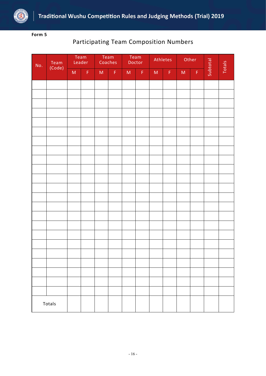

# Participating Team Composition Numbers

| No. | Team   |                | Team<br>Leader | Team        | Coaches     |              | Team<br>Doctor |                | Athletes                              | Other        |                 | Subtotal | Totals |
|-----|--------|----------------|----------------|-------------|-------------|--------------|----------------|----------------|---------------------------------------|--------------|-----------------|----------|--------|
|     | (Code) | $\mathsf{M}^+$ | $\mathsf F$    | $M_{\odot}$ | $\mathsf F$ | $\mathsf{M}$ | $\mathsf F$    | $\mathsf{M}^+$ | $\mathsf{F}^{\scriptscriptstyle\vee}$ | $\mathsf{M}$ | $\vert F \vert$ |          |        |
|     |        |                |                |             |             |              |                |                |                                       |              |                 |          |        |
|     |        |                |                |             |             |              |                |                |                                       |              |                 |          |        |
|     |        |                |                |             |             |              |                |                |                                       |              |                 |          |        |
|     |        |                |                |             |             |              |                |                |                                       |              |                 |          |        |
|     |        |                |                |             |             |              |                |                |                                       |              |                 |          |        |
|     |        |                |                |             |             |              |                |                |                                       |              |                 |          |        |
|     |        |                |                |             |             |              |                |                |                                       |              |                 |          |        |
|     |        |                |                |             |             |              |                |                |                                       |              |                 |          |        |
|     |        |                |                |             |             |              |                |                |                                       |              |                 |          |        |
|     |        |                |                |             |             |              |                |                |                                       |              |                 |          |        |
|     |        |                |                |             |             |              |                |                |                                       |              |                 |          |        |
|     |        |                |                |             |             |              |                |                |                                       |              |                 |          |        |
|     |        |                |                |             |             |              |                |                |                                       |              |                 |          |        |
|     |        |                |                |             |             |              |                |                |                                       |              |                 |          |        |
|     |        |                |                |             |             |              |                |                |                                       |              |                 |          |        |
|     |        |                |                |             |             |              |                |                |                                       |              |                 |          |        |
|     |        |                |                |             |             |              |                |                |                                       |              |                 |          |        |
|     |        |                |                |             |             |              |                |                |                                       |              |                 |          |        |
|     |        |                |                |             |             |              |                |                |                                       |              |                 |          |        |
|     | Totals |                |                |             |             |              |                |                |                                       |              |                 |          |        |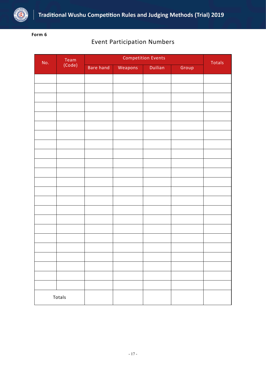

## Event Participation Numbers

| No. | Team<br>(Code) |           | Totals  |                |       |  |
|-----|----------------|-----------|---------|----------------|-------|--|
|     |                | Bare hand | Weapons | <b>Duilian</b> | Group |  |
|     |                |           |         |                |       |  |
|     |                |           |         |                |       |  |
|     |                |           |         |                |       |  |
|     |                |           |         |                |       |  |
|     |                |           |         |                |       |  |
|     |                |           |         |                |       |  |
|     |                |           |         |                |       |  |
|     |                |           |         |                |       |  |
|     |                |           |         |                |       |  |
|     |                |           |         |                |       |  |
|     |                |           |         |                |       |  |
|     |                |           |         |                |       |  |
|     |                |           |         |                |       |  |
|     |                |           |         |                |       |  |
|     |                |           |         |                |       |  |
|     |                |           |         |                |       |  |
|     |                |           |         |                |       |  |
|     |                |           |         |                |       |  |
|     |                |           |         |                |       |  |
|     |                |           |         |                |       |  |
|     |                |           |         |                |       |  |
|     |                |           |         |                |       |  |
|     |                |           |         |                |       |  |
|     | Totals         |           |         |                |       |  |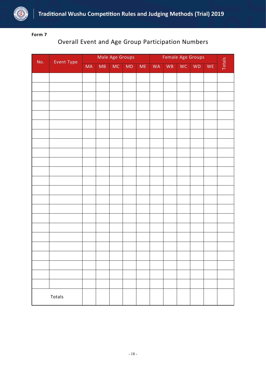

# Overall Event and Age Group Participation Numbers

|     |            |           |    | Male Age Groups |    |      | Female Age Groups |    |           |           |    |        |
|-----|------------|-----------|----|-----------------|----|------|-------------------|----|-----------|-----------|----|--------|
| No. | Event Type | <b>MA</b> | MB | MC              | MD | $ME$ | WA                | WB | <b>WC</b> | <b>WD</b> | WE | Totals |
|     |            |           |    |                 |    |      |                   |    |           |           |    |        |
|     |            |           |    |                 |    |      |                   |    |           |           |    |        |
|     |            |           |    |                 |    |      |                   |    |           |           |    |        |
|     |            |           |    |                 |    |      |                   |    |           |           |    |        |
|     |            |           |    |                 |    |      |                   |    |           |           |    |        |
|     |            |           |    |                 |    |      |                   |    |           |           |    |        |
|     |            |           |    |                 |    |      |                   |    |           |           |    |        |
|     |            |           |    |                 |    |      |                   |    |           |           |    |        |
|     |            |           |    |                 |    |      |                   |    |           |           |    |        |
|     |            |           |    |                 |    |      |                   |    |           |           |    |        |
|     |            |           |    |                 |    |      |                   |    |           |           |    |        |
|     |            |           |    |                 |    |      |                   |    |           |           |    |        |
|     |            |           |    |                 |    |      |                   |    |           |           |    |        |
|     |            |           |    |                 |    |      |                   |    |           |           |    |        |
|     |            |           |    |                 |    |      |                   |    |           |           |    |        |
|     |            |           |    |                 |    |      |                   |    |           |           |    |        |
|     |            |           |    |                 |    |      |                   |    |           |           |    |        |
|     |            |           |    |                 |    |      |                   |    |           |           |    |        |
|     |            |           |    |                 |    |      |                   |    |           |           |    |        |
|     |            |           |    |                 |    |      |                   |    |           |           |    |        |
|     |            |           |    |                 |    |      |                   |    |           |           |    |        |
|     |            |           |    |                 |    |      |                   |    |           |           |    |        |
|     |            |           |    |                 |    |      |                   |    |           |           |    |        |
|     |            |           |    |                 |    |      |                   |    |           |           |    |        |
|     |            |           |    |                 |    |      |                   |    |           |           |    |        |
|     | Totals     |           |    |                 |    |      |                   |    |           |           |    |        |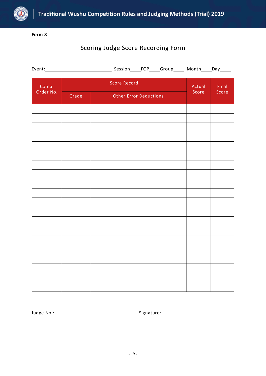

# Scoring Judge Score Recording Form

| Event:             |       |                               |        |       |  |
|--------------------|-------|-------------------------------|--------|-------|--|
| Comp.<br>Order No. |       | <b>Score Record</b>           | Actual | Final |  |
|                    | Grade | <b>Other Error Deductions</b> | Score  | Score |  |
|                    |       |                               |        |       |  |
|                    |       |                               |        |       |  |
|                    |       |                               |        |       |  |
|                    |       |                               |        |       |  |
|                    |       |                               |        |       |  |
|                    |       |                               |        |       |  |
|                    |       |                               |        |       |  |
|                    |       |                               |        |       |  |
|                    |       |                               |        |       |  |
|                    |       |                               |        |       |  |
|                    |       |                               |        |       |  |
|                    |       |                               |        |       |  |
|                    |       |                               |        |       |  |
|                    |       |                               |        |       |  |
|                    |       |                               |        |       |  |
|                    |       |                               |        |       |  |
|                    |       |                               |        |       |  |

Judge No.: Signature: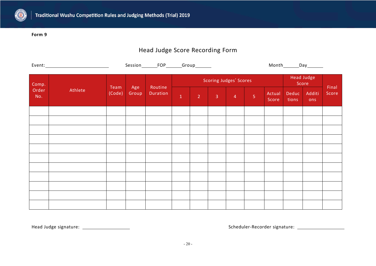

# Head Judge Score Recording Form

|              |                         |                |              | Session_________FOP________Group________ |                     |                 |          |                                                                                                                                                  |                |                 | Month________Day________ |                     |       |
|--------------|-------------------------|----------------|--------------|------------------------------------------|---------------------|-----------------|----------|--------------------------------------------------------------------------------------------------------------------------------------------------|----------------|-----------------|--------------------------|---------------------|-------|
| Comp.        |                         |                |              |                                          |                     |                 |          | <b>Scoring Judges' Scores</b>                                                                                                                    |                |                 |                          | Head Judge<br>Score | Final |
| Order<br>No. | <b>Exercise Athlete</b> | Team<br>(Code) | Age<br>Group | Routine<br>Duration                      | $\mathbf{1}^{\top}$ | $\sim$ 2 $\sim$ | $\sim$ 3 | $\begin{array}{ c c c c c }\n\hline\n\text{A} & \text{B} & \text{C} \\ \hline\n\text{A} & \text{C} & \text{D} & \text{A} \\ \hline\n\end{array}$ | 5 <sup>°</sup> | Actual<br>Score | tions                    | Deduc Additi<br>ons | Score |
|              |                         |                |              |                                          |                     |                 |          |                                                                                                                                                  |                |                 |                          |                     |       |
|              |                         |                |              |                                          |                     |                 |          |                                                                                                                                                  |                |                 |                          |                     |       |
|              |                         |                |              |                                          |                     |                 |          |                                                                                                                                                  |                |                 |                          |                     |       |
|              |                         |                |              |                                          |                     |                 |          |                                                                                                                                                  |                |                 |                          |                     |       |
|              |                         |                |              |                                          |                     |                 |          |                                                                                                                                                  |                |                 |                          |                     |       |
|              |                         |                |              |                                          |                     |                 |          |                                                                                                                                                  |                |                 |                          |                     |       |
|              |                         |                |              |                                          |                     |                 |          |                                                                                                                                                  |                |                 |                          |                     |       |
|              |                         |                |              |                                          |                     |                 |          |                                                                                                                                                  |                |                 |                          |                     |       |
|              |                         |                |              |                                          |                     |                 |          |                                                                                                                                                  |                |                 |                          |                     |       |
|              |                         |                |              |                                          |                     |                 |          |                                                                                                                                                  |                |                 |                          |                     |       |
|              |                         |                |              |                                          |                     |                 |          |                                                                                                                                                  |                |                 |                          |                     |       |

Head Judge signature: Scheduler-Recorder signature: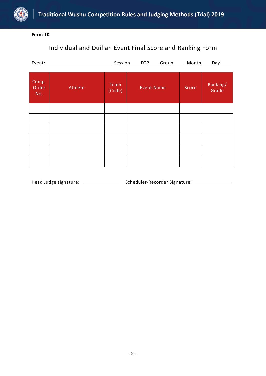

# Individual and Duilian Event Final Score and Ranking Form

|                       | Event: Event and the second state of the second state of the second state of the second state of the second state of the second state of the second state of the second state of the second state of the second state of the s |                | Session____FOP____Group_____ Month____Day____ |       |                   |
|-----------------------|--------------------------------------------------------------------------------------------------------------------------------------------------------------------------------------------------------------------------------|----------------|-----------------------------------------------|-------|-------------------|
| Comp.<br>Order<br>No. | Athlete                                                                                                                                                                                                                        | Team<br>(Code) | <b>Event Name</b>                             | Score | Ranking/<br>Grade |
|                       |                                                                                                                                                                                                                                |                |                                               |       |                   |
|                       |                                                                                                                                                                                                                                |                |                                               |       |                   |
|                       |                                                                                                                                                                                                                                |                |                                               |       |                   |
|                       |                                                                                                                                                                                                                                |                |                                               |       |                   |
|                       |                                                                                                                                                                                                                                |                |                                               |       |                   |
|                       |                                                                                                                                                                                                                                |                |                                               |       |                   |

Head Judge signature: Scheduler-Recorder Signature: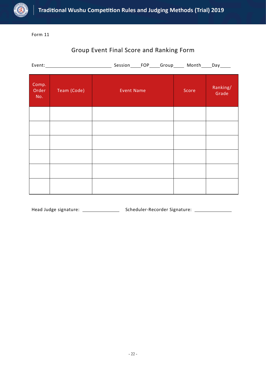

# Group Event Final Score and Ranking Form

| Comp.<br>Order<br>No. | Team (Code) | <b>Event Name</b> | Score | Ranking/<br>Grade |
|-----------------------|-------------|-------------------|-------|-------------------|
|                       |             |                   |       |                   |
|                       |             |                   |       |                   |
|                       |             |                   |       |                   |
|                       |             |                   |       |                   |
|                       |             |                   |       |                   |
|                       |             |                   |       |                   |

Head Judge signature: Scheduler-Recorder Signature: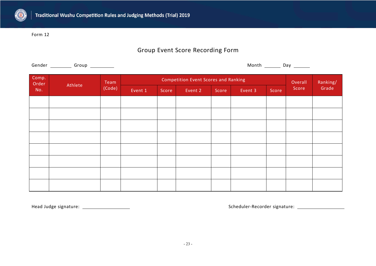

# Group Event Score Recording Form

| Comp.<br><b>Competition Event Scores and Ranking</b><br>Ranking/<br>Overall<br>Team<br>Order<br>Athlete<br>(Code)<br>Grade<br>Score<br>No.<br>Event 1<br>Score<br>Event 2<br>Event 3<br>Score<br>Score |  |
|--------------------------------------------------------------------------------------------------------------------------------------------------------------------------------------------------------|--|
|                                                                                                                                                                                                        |  |
|                                                                                                                                                                                                        |  |
|                                                                                                                                                                                                        |  |
|                                                                                                                                                                                                        |  |
|                                                                                                                                                                                                        |  |
|                                                                                                                                                                                                        |  |
|                                                                                                                                                                                                        |  |
|                                                                                                                                                                                                        |  |
|                                                                                                                                                                                                        |  |
|                                                                                                                                                                                                        |  |

Head Judge signature: Scheduler-Recorder signature: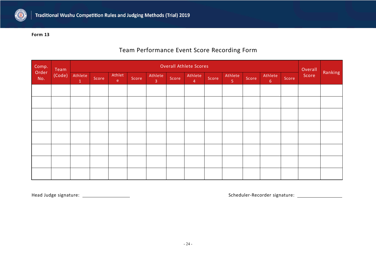

## Team Performance Event Score Recording Form

|                       | Team   | <b>Overall Athlete Scores</b><br>Overall |       |                                                  |       |                           |       |                           |       |                           |       |                 |       |       |         |
|-----------------------|--------|------------------------------------------|-------|--------------------------------------------------|-------|---------------------------|-------|---------------------------|-------|---------------------------|-------|-----------------|-------|-------|---------|
| Comp.<br>Order<br>No. | (Code) | Athlete<br>$\mathbf{1}$                  | Score | Athlet<br>$\mathsf{e}^{\scriptscriptstyle \top}$ | Score | Athlete<br>$\overline{3}$ | Score | Athlete<br>$\overline{4}$ | Score | Athlete<br>5 <sub>1</sub> | Score | Athlete<br>$-6$ | Score | Score | Ranking |
|                       |        |                                          |       |                                                  |       |                           |       |                           |       |                           |       |                 |       |       |         |
|                       |        |                                          |       |                                                  |       |                           |       |                           |       |                           |       |                 |       |       |         |
|                       |        |                                          |       |                                                  |       |                           |       |                           |       |                           |       |                 |       |       |         |
|                       |        |                                          |       |                                                  |       |                           |       |                           |       |                           |       |                 |       |       |         |
|                       |        |                                          |       |                                                  |       |                           |       |                           |       |                           |       |                 |       |       |         |
|                       |        |                                          |       |                                                  |       |                           |       |                           |       |                           |       |                 |       |       |         |
|                       |        |                                          |       |                                                  |       |                           |       |                           |       |                           |       |                 |       |       |         |
|                       |        |                                          |       |                                                  |       |                           |       |                           |       |                           |       |                 |       |       |         |

Head Judge signature: Scheduler-Recorder signature: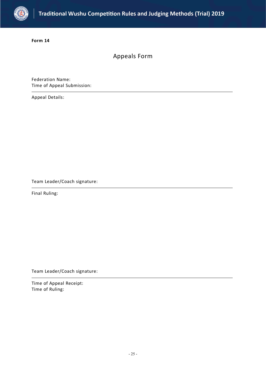

Appeals Form

Federation Name: Time of Appeal Submission:

Appeal Details:

Team Leader/Coach signature:

Final Ruling:

Team Leader/Coach signature:

Time of Appeal Receipt: Time of Ruling: